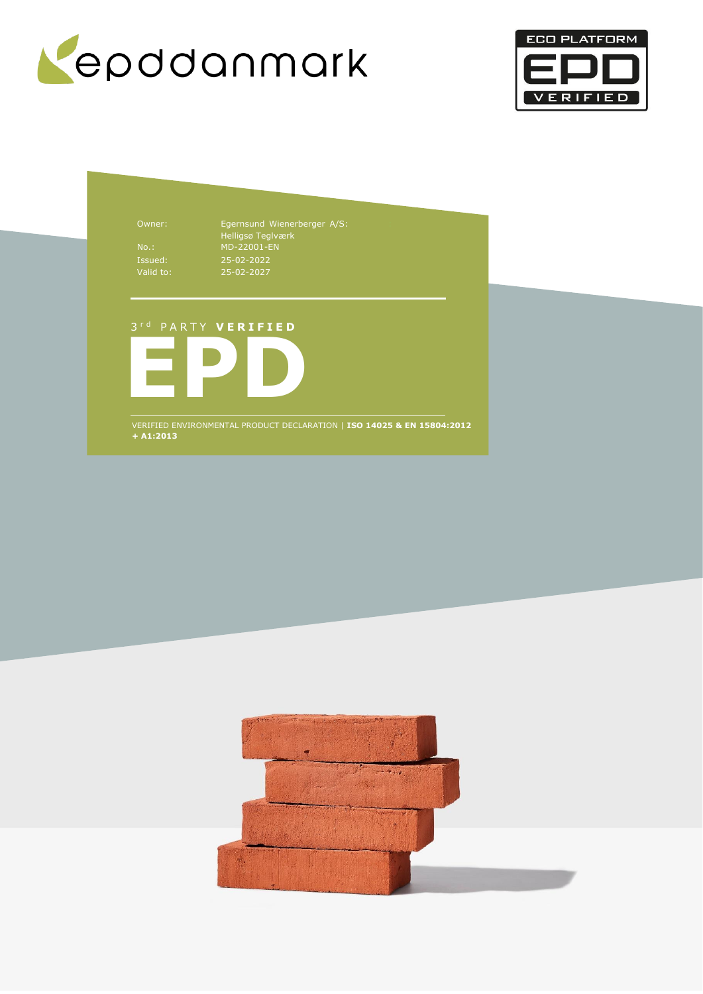



Owner: Egernsund Wienerberger A/S: Helligsø Teglværk No.: MD-22001-EN 25-02-2022 25-02-2027

## 3 r d P A R T Y **V E R I F I E D**



VERIFIED ENVIRONMENTAL PRODUCT DECLARATION | **ISO 14025 & EN 15804:2012 + A1:2013**

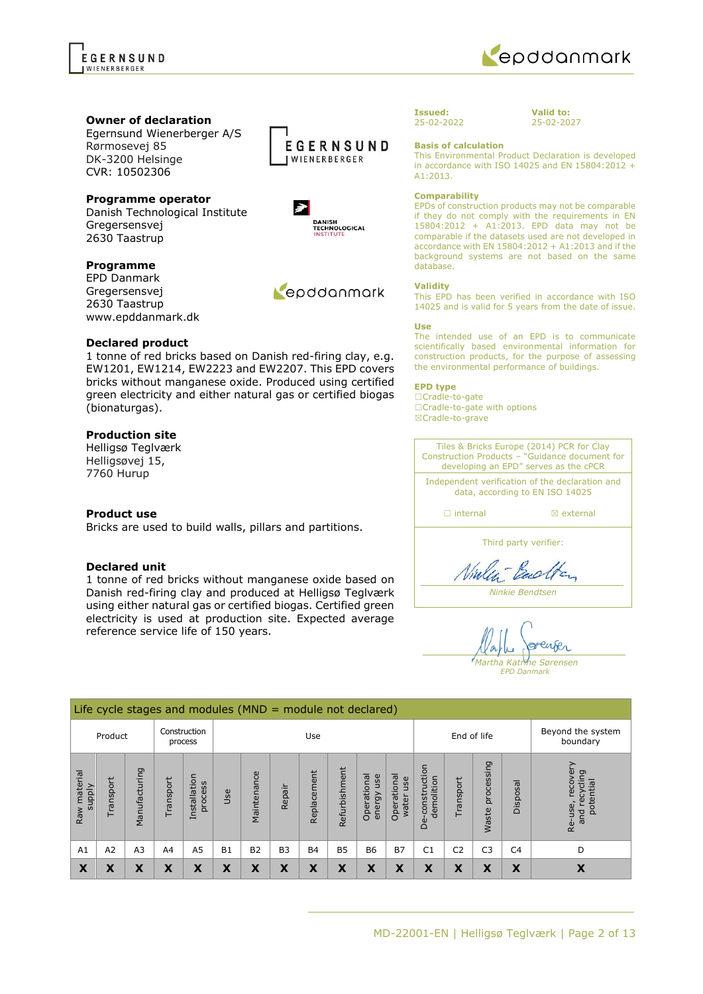Egernsund Wienerberger A/S Rørmosevej 85 DK-3200 Helsinge CVR: 10502306



Danish Technological Institute Gregersensvej 2630 Taastrup

### **Programme**

EPD Danmark Gregersensvej 2630 Taastrup www.epddanmark.dk

### **Declared product**

1 tonne of red bricks based on Danish red-firing clay, e.g. EW1201, EW1214, EW2223 and EW2207. This EPD covers bricks without manganese oxide. Produced using certified green electricity and either natural gas or certified biogas (bionaturgas).

## **Production site**

Helligsø Teglværk Helligsøvej 15, 7760 Hurup

### **Product use**

Bricks are used to build walls, pillars and partitions.

### **Declared unit**

1 tonne of red bricks without manganese oxide based on Danish red-firing clay and produced at Helligsø Teglværk using either natural gas or certified biogas. Certified green electricity is used at production site. Expected average reference service life of 150 years.

 $\frac{1}{2}$  Life cycle stages and modules (MND  $\pm$  module not declared)

#### **Issued:** 25-02-2022

## **Basis of calculation**

This Environmental Product Declaration is developed in accordance with ISO 14025 and EN 15804:2012 + A1:2013.

#### **Comparability**

EPDs of construction products may not be comparable if they do not comply with the requirements in EN 15804:2012 + A1:2013. EPD data may not be comparable if the datasets used are not developed in accordance with EN 15804:2012 + A1:2013 and if the background systems are not based on the same database.

#### **Validity**

This EPD has been verified in accordance with ISO 14025 and is valid for 5 years from the date of issue.

#### **Use**

The intended use of an EPD is to communicate scientifically based environmental information for construction products, for the purpose of assessing the environmental performance of buildings.

### **EPD type**

☐Cradle-to-gate ☐Cradle-to-gate with options ☒Cradle-to-grave

Tiles & Bricks Europe (2014) PCR for Clay Construction Products – "Guidance document for developing an EPD" serves as the cPCR Independent verification of the declaration and data, according to EN ISO 14025 ☐ internal ☒ external

Third party verifier:

Vialen-Backen

*Ninkie Bendtsen*

enser *Martha Katrine Sørensen EPD Danmark*

| End cycle stages and moderes (more<br>moddie not accidica, |          |                             |          |                         |           |                |                |             |               |                              |                             |                                      |                |                               |          |                                                      |
|------------------------------------------------------------|----------|-----------------------------|----------|-------------------------|-----------|----------------|----------------|-------------|---------------|------------------------------|-----------------------------|--------------------------------------|----------------|-------------------------------|----------|------------------------------------------------------|
|                                                            | Product  |                             |          | Construction<br>process |           |                |                | Use         |               |                              |                             | End of life                          |                | Beyond the system<br>boundary |          |                                                      |
| material<br><b>Alddns</b><br>Raw                           | ransport | ּס<br>ufactu<br>Man         | ransport | Installation<br>process | Use       | Maintenance    | Repair         | Replacement | Refurbishment | Operational<br>use<br>energy | Operational<br>use<br>water | uction<br>demolition<br>constri<br>ف | Transport      | processing<br><b>Waste</b>    | Disposal | recovery<br>recycling<br>potential<br>Re-use,<br>and |
| A1                                                         | A2       | A <sub>3</sub>              | A4       | A <sub>5</sub>          | <b>B1</b> | B <sub>2</sub> | B <sub>3</sub> | <b>B4</b>   | <b>B5</b>     | <b>B6</b>                    | <b>B7</b>                   | C1                                   | C <sub>2</sub> | C <sub>3</sub>                | C4       | D                                                    |
| X                                                          | л        | v<br>$\boldsymbol{\Lambda}$ | v<br>ᄉ   | X                       | X         | X              | X              | X           | X             | X                            | Х                           | X                                    | X              | X                             | Χ        | Х                                                    |



Repodanmark



**Valid to:** 25-02-2027



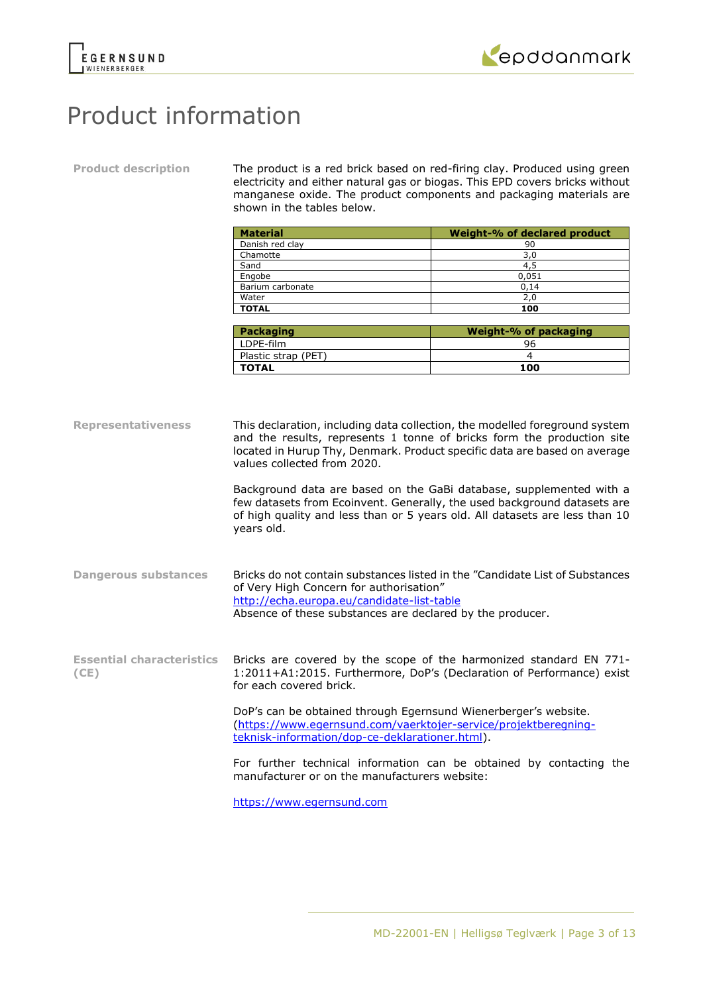



## Product information

**Product description** The product is a red brick based on red-firing clay. Produced using green electricity and either natural gas or biogas. This EPD covers bricks without manganese oxide. The product components and packaging materials are shown in the tables below.

| <b>Material</b>  | Weight-% of declared product |
|------------------|------------------------------|
| Danish red clay  | 90                           |
| Chamotte         | 3,0                          |
| Sand             | 4.5                          |
| Engobe           | 0,051                        |
| Barium carbonate | 0,14                         |
| Water            | 2,0                          |
| <b>TOTAL</b>     | 100                          |

| Packaging           | Weight-% of packaging |
|---------------------|-----------------------|
| LDPE-film           | 96                    |
| Plastic strap (PET) |                       |
| <b>TOTAL</b>        | 100                   |

**Representativeness** This declaration, including data collection, the modelled foreground system and the results, represents 1 tonne of bricks form the production site located in Hurup Thy, Denmark. Product specific data are based on average values collected from 2020. Background data are based on the GaBi database, supplemented with a few datasets from Ecoinvent. Generally, the used background datasets are of high quality and less than or 5 years old. All datasets are less than 10 years old. **Dangerous substances** Bricks do not contain substances listed in the "Candidate List of Substances of Very High Concern for authorisation" <http://echa.europa.eu/candidate-list-table> Absence of these substances are declared by the producer. **Essential characteristics (CE)** Bricks are covered by the scope of the harmonized standard EN 771- 1:2011+A1:2015. Furthermore, DoP's (Declaration of Performance) exist for each covered brick. DoP's can be obtained through Egernsund Wienerberger's website. [\(https://www.egernsund.com/vaerktojer-service/projektberegning](https://www.egernsund.com/vaerktojer-service/projektberegning-teknisk-information/dop-ce-deklarationer.html)[teknisk-information/dop-ce-deklarationer.html\)](https://www.egernsund.com/vaerktojer-service/projektberegning-teknisk-information/dop-ce-deklarationer.html). For further technical information can be obtained by contacting the manufacturer or on the manufacturers website:

[https://www.egernsund.com](https://www.egernsund.com/)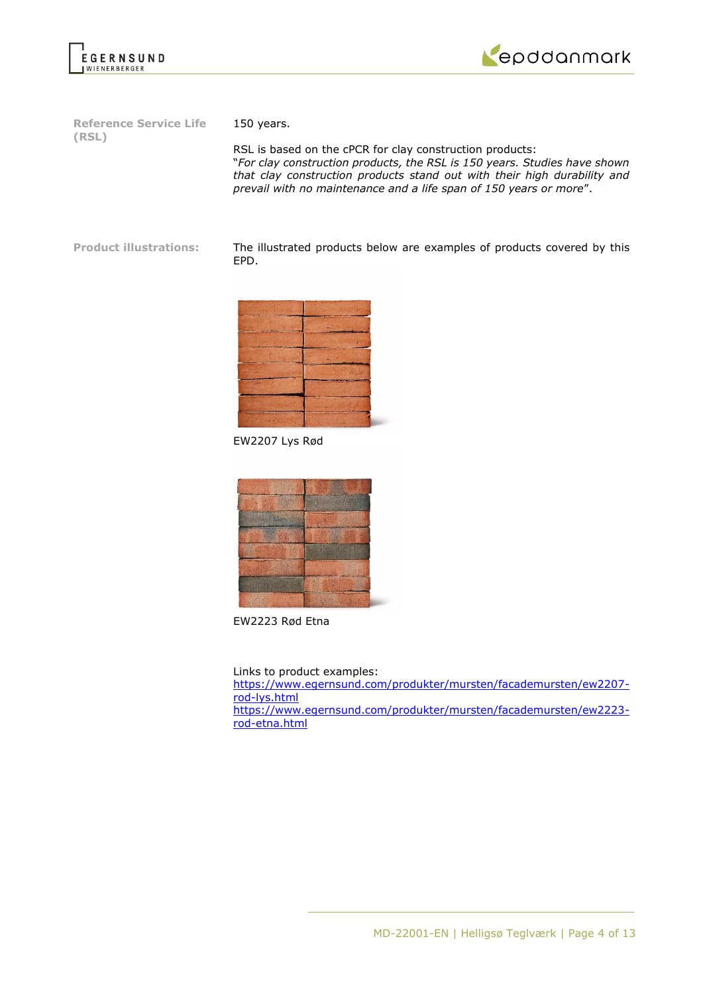



**Reference Service Life (RSL)**

150 years.

RSL is based on the cPCR for clay construction products: "*For clay construction products, the RSL is 150 years. Studies have shown that clay construction products stand out with their high durability and prevail with no maintenance and a life span of 150 years or more*".

**Product illustrations:** The illustrated products below are examples of products covered by this EPD.



EW2207 Lys Rød



EW2223 Rød Etna

Links to product examples:

[https://www.egernsund.com/produkter/mursten/facademursten/ew2207](https://www.egernsund.com/produkter/mursten/facademursten/ew2207-rod-lys.html) [rod-lys.html](https://www.egernsund.com/produkter/mursten/facademursten/ew2207-rod-lys.html) [https://www.egernsund.com/produkter/mursten/facademursten/ew2223](https://www.egernsund.com/produkter/mursten/facademursten/ew2223-rod-etna.html) [rod-etna.html](https://www.egernsund.com/produkter/mursten/facademursten/ew2223-rod-etna.html)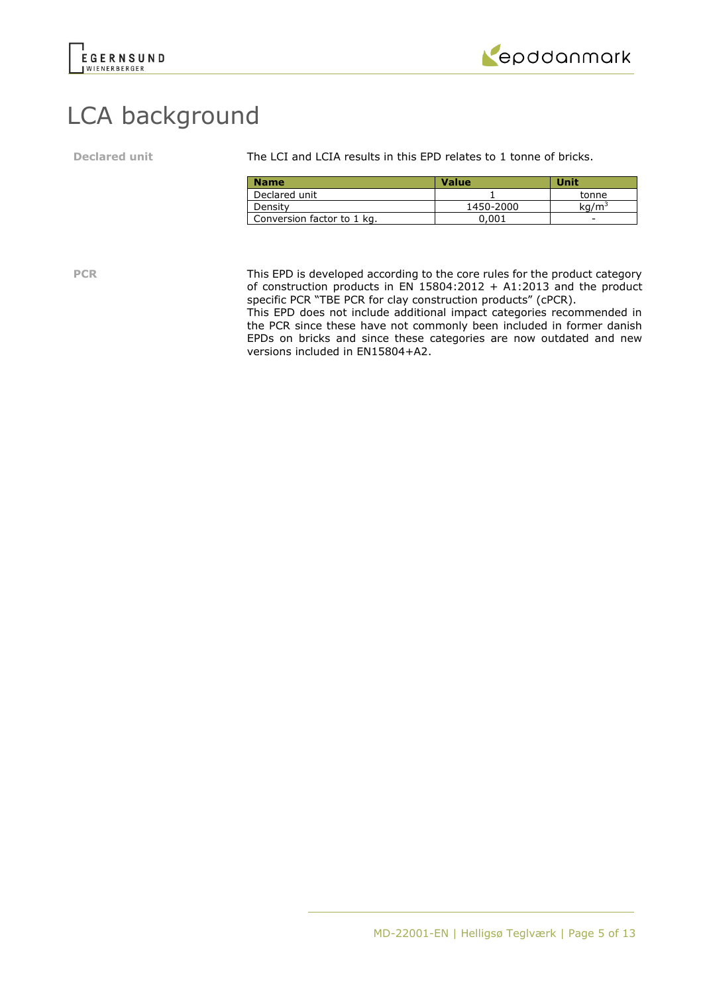



# LCA background

**Declared unit** The LCI and LCIA results in this EPD relates to 1 tonne of bricks.

| <b>Name</b>                | <b>Value</b> | Unit              |
|----------------------------|--------------|-------------------|
| Declared unit              |              | tonne             |
| Density                    | 1450-2000    | kq/m <sup>3</sup> |
| Conversion factor to 1 kg. | ን.001        |                   |

**PCR** This EPD is developed according to the core rules for the product category of construction products in EN  $15804:2012 + A1:2013$  and the product specific PCR "TBE PCR for clay construction products" (cPCR).

This EPD does not include additional impact categories recommended in the PCR since these have not commonly been included in former danish EPDs on bricks and since these categories are now outdated and new versions included in EN15804+A2.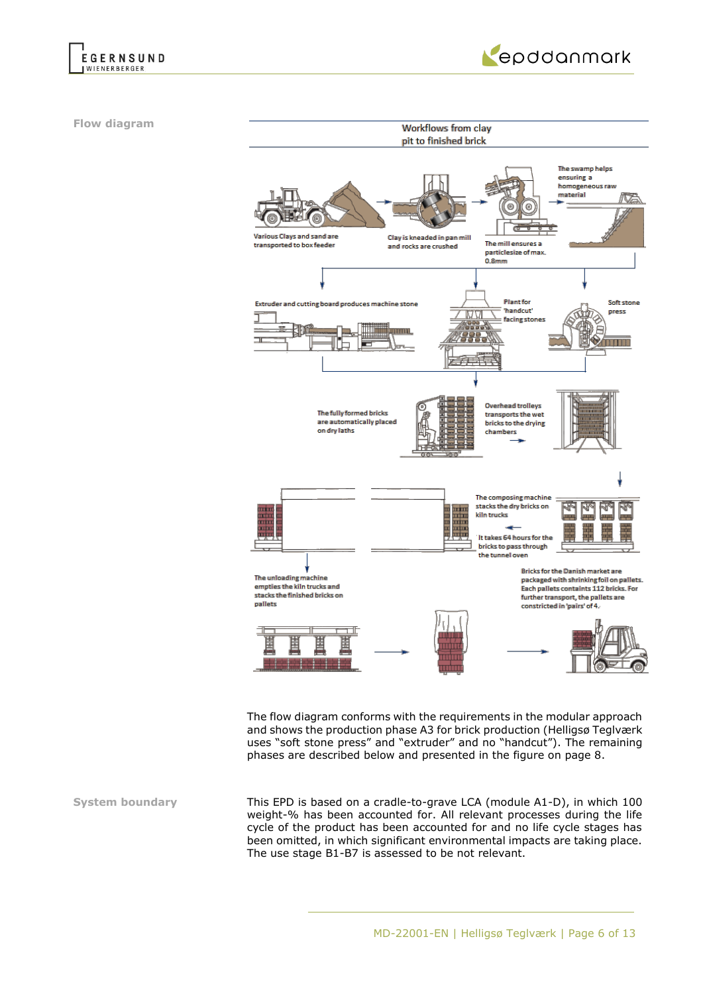



**Flow diagram**



The flow diagram conforms with the requirements in the modular approach and shows the production phase A3 for brick production (Helligsø Teglværk uses "soft stone press" and "extruder" and no "handcut"). The remaining phases are described below and presented in the figure on page 8.

**System boundary** This EPD is based on a cradle-to-grave LCA (module A1-D), in which 100 weight-% has been accounted for. All relevant processes during the life cycle of the product has been accounted for and no life cycle stages has been omitted, in which significant environmental impacts are taking place. The use stage B1-B7 is assessed to be not relevant.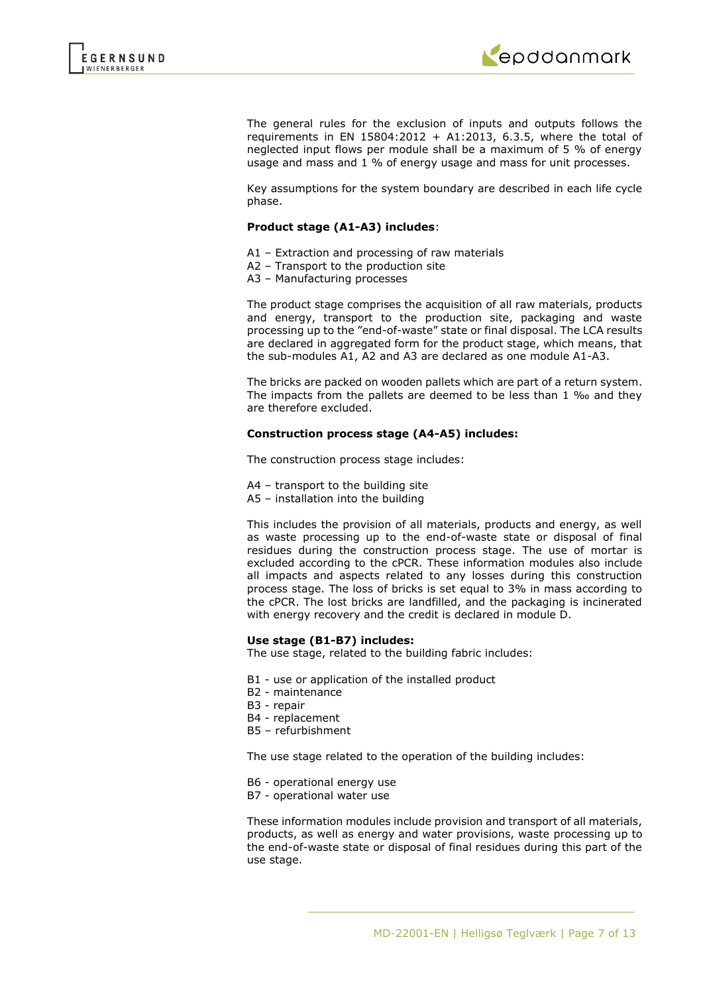

The general rules for the exclusion of inputs and outputs follows the requirements in EN 15804:2012 + A1:2013, 6.3.5, where the total of neglected input flows per module shall be a maximum of 5 % of energy usage and mass and 1 % of energy usage and mass for unit processes.

Key assumptions for the system boundary are described in each life cycle phase.

### **Product stage (A1-A3) includes**:

- A1 Extraction and processing of raw materials
- A2 Transport to the production site
- A3 Manufacturing processes

The product stage comprises the acquisition of all raw materials, products and energy, transport to the production site, packaging and waste processing up to the "end-of-waste" state or final disposal. The LCA results are declared in aggregated form for the product stage, which means, that the sub-modules A1, A2 and A3 are declared as one module A1-A3.

The bricks are packed on wooden pallets which are part of a return system. The impacts from the pallets are deemed to be less than 1 ‰ and they are therefore excluded.

### **Construction process stage (A4-A5) includes:**

The construction process stage includes:

- A4 transport to the building site
- A5 installation into the building

This includes the provision of all materials, products and energy, as well as waste processing up to the end-of-waste state or disposal of final residues during the construction process stage. The use of mortar is excluded according to the cPCR. These information modules also include all impacts and aspects related to any losses during this construction process stage. The loss of bricks is set equal to 3% in mass according to the cPCR. The lost bricks are landfilled, and the packaging is incinerated with energy recovery and the credit is declared in module D.

### **Use stage (B1-B7) includes:**

The use stage, related to the building fabric includes:

- B1 use or application of the installed product
- B2 maintenance
- B3 repair
- B4 replacement
- B5 refurbishment

The use stage related to the operation of the building includes:

- B6 operational energy use
- B7 operational water use

These information modules include provision and transport of all materials, products, as well as energy and water provisions, waste processing up to the end-of-waste state or disposal of final residues during this part of the use stage.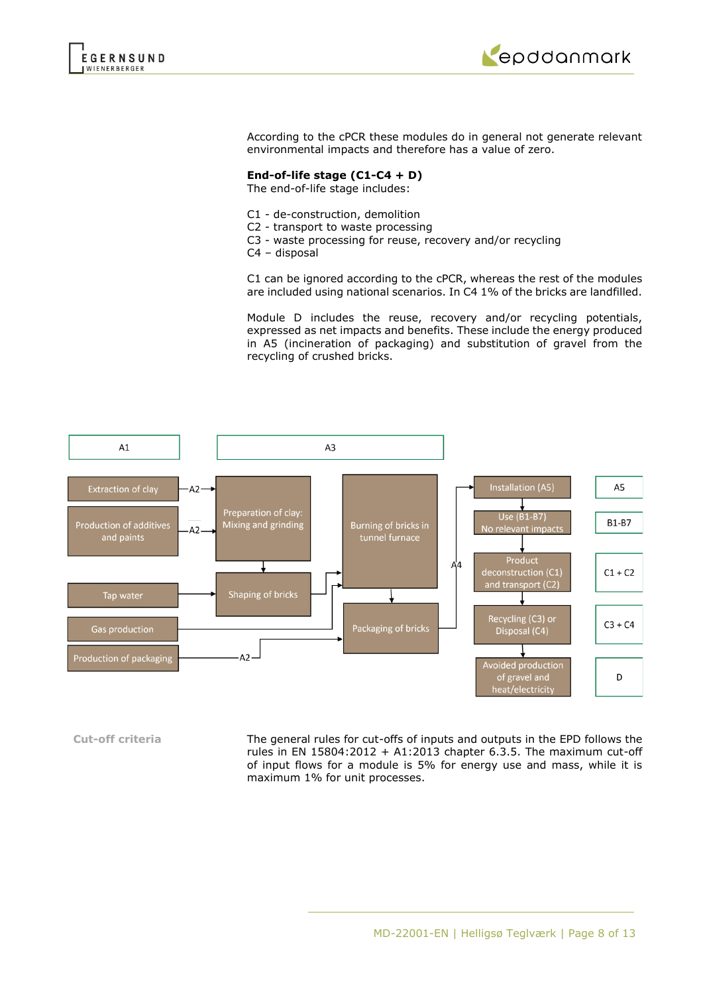



According to the cPCR these modules do in general not generate relevant environmental impacts and therefore has a value of zero.

## **End-of-life stage (C1-C4 + D)**

The end-of-life stage includes:

- C1 de-construction, demolition
- C2 transport to waste processing
- C3 waste processing for reuse, recovery and/or recycling
- C4 disposal

C1 can be ignored according to the cPCR, whereas the rest of the modules are included using national scenarios. In C4 1% of the bricks are landfilled.

Module D includes the reuse, recovery and/or recycling potentials, expressed as net impacts and benefits. These include the energy produced in A5 (incineration of packaging) and substitution of gravel from the recycling of crushed bricks.



**Cut-off criteria** The general rules for cut-offs of inputs and outputs in the EPD follows the rules in EN  $15804:2012 + A1:2013$  chapter 6.3.5. The maximum cut-off of input flows for a module is 5% for energy use and mass, while it is maximum 1% for unit processes.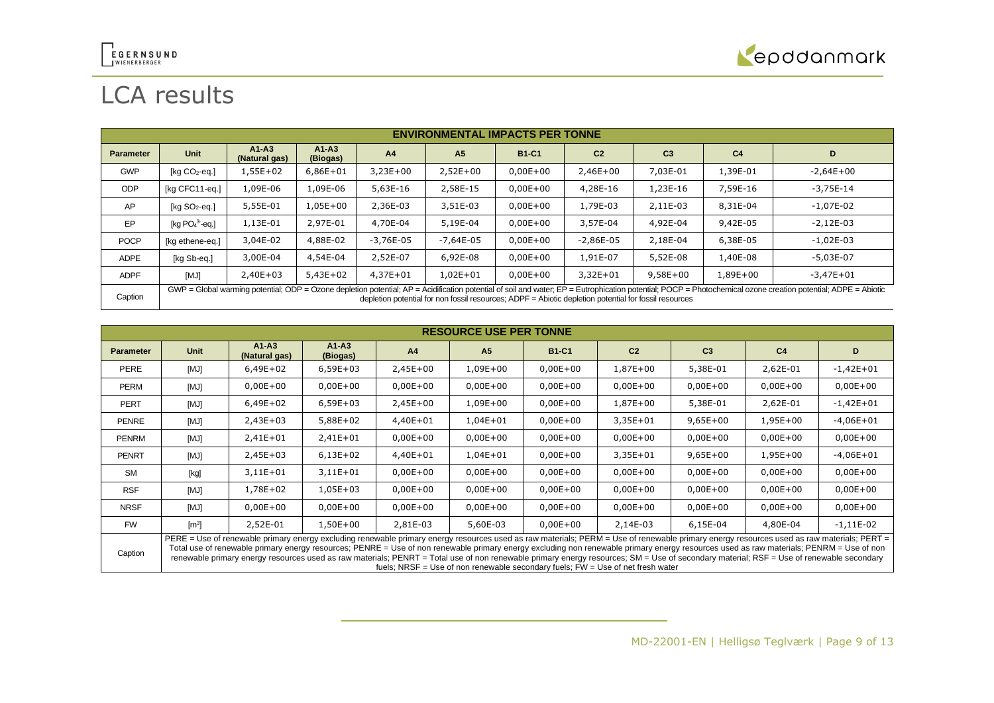

# LCA results

|                  | <b>ENVIRONMENTAL IMPACTS PER TONNE</b>                                                                                                                                                                                                                                                                                 |                            |                       |              |                |              |                |                |                |               |  |
|------------------|------------------------------------------------------------------------------------------------------------------------------------------------------------------------------------------------------------------------------------------------------------------------------------------------------------------------|----------------------------|-----------------------|--------------|----------------|--------------|----------------|----------------|----------------|---------------|--|
| <b>Parameter</b> | <b>Unit</b>                                                                                                                                                                                                                                                                                                            | $A1 - A3$<br>(Natural gas) | $A1 - A3$<br>(Biogas) | A4           | A <sub>5</sub> | <b>B1-C1</b> | C <sub>2</sub> | C <sub>3</sub> | C <sub>4</sub> | D             |  |
| <b>GWP</b>       | [ $kg CO2$ -eq.]                                                                                                                                                                                                                                                                                                       | 1,55E+02                   | $6,86E + 01$          | $3,23E+00$   | $2,52E+00$     | $0,00E + 00$ | $2,46E+00$     | 7,03E-01       | 1,39E-01       | $-2,64E+00$   |  |
| <b>ODP</b>       | [kg CFC11-eg.]                                                                                                                                                                                                                                                                                                         | 1,09E-06                   | 1,09E-06              | 5,63E-16     | 2,58E-15       | $0,00E + 00$ | 4,28E-16       | 1,23E-16       | 7,59E-16       | $-3,75E-14$   |  |
| AP               | $[kq SO2-eq.]$                                                                                                                                                                                                                                                                                                         | 5,55E-01                   | $1,05E+00$            | 2,36E-03     | 3,51E-03       | $0,00E + 00$ | 1,79E-03       | 2,11E-03       | 8,31E-04       | $-1,07E-02$   |  |
| EP               | [kg $PO43$ -eg.]                                                                                                                                                                                                                                                                                                       | 1,13E-01                   | 2,97E-01              | 4,70E-04     | 5,19E-04       | $0,00E + 00$ | 3,57E-04       | 4,92E-04       | 9,42E-05       | $-2,12E-03$   |  |
| <b>POCP</b>      | [kg ethene-eq.]                                                                                                                                                                                                                                                                                                        | 3,04E-02                   | 4,88E-02              | $-3,76E-05$  | $-7,64E-05$    | $0,00E + 00$ | $-2,86E-05$    | 2,18E-04       | 6,38E-05       | $-1,02E-03$   |  |
| <b>ADPE</b>      | [kg Sb-eg.]                                                                                                                                                                                                                                                                                                            | 3,00E-04                   | 4,54E-04              | 2,52E-07     | 6,92E-08       | $0,00E+00$   | 1,91E-07       | 5,52E-08       | 1,40E-08       | $-5.03E-07$   |  |
| <b>ADPF</b>      | [MJ]                                                                                                                                                                                                                                                                                                                   | $2,40E+03$                 | $5.43E+02$            | $4.37E + 01$ | $1.02E + 01$   | $0.00E + 00$ | $3.32E + 01$   | $9.58E + 00$   | 1,89E+00       | $-3.47E + 01$ |  |
| Caption          | GWP = Global warming potential; ODP = Ozone depletion potential; AP = Acidification potential of soil and water; EP = Eutrophication potential; POCP = Photochemical ozone creation potential; ADPE = Abiotic<br>depletion potential for non fossil resources; ADPF = Abiotic depletion potential for fossil resources |                            |                       |              |                |              |                |                |                |               |  |

|                  | <b>RESOURCE USE PER TONNE</b> |                                                                                                                                                                                                                                                                                                                                                                                                                                                                                                                                                                                 |                     |            |                |              |                                                                                   |                |                |              |
|------------------|-------------------------------|---------------------------------------------------------------------------------------------------------------------------------------------------------------------------------------------------------------------------------------------------------------------------------------------------------------------------------------------------------------------------------------------------------------------------------------------------------------------------------------------------------------------------------------------------------------------------------|---------------------|------------|----------------|--------------|-----------------------------------------------------------------------------------|----------------|----------------|--------------|
| <b>Parameter</b> | Unit                          | $A1-A3$<br>(Natural gas)                                                                                                                                                                                                                                                                                                                                                                                                                                                                                                                                                        | $A1-A3$<br>(Biogas) | A4         | A <sub>5</sub> | <b>B1-C1</b> | C <sub>2</sub>                                                                    | C <sub>3</sub> | C <sub>4</sub> | D            |
| PERE             | [MJ]                          | 6,49E+02                                                                                                                                                                                                                                                                                                                                                                                                                                                                                                                                                                        | $6,59E+03$          | $2,45E+00$ | 1,09E+00       | $0,00E+00$   | 1,87E+00                                                                          | 5,38E-01       | 2,62E-01       | $-1,42E+01$  |
| <b>PERM</b>      | [MJ]                          | $0,00E+00$                                                                                                                                                                                                                                                                                                                                                                                                                                                                                                                                                                      | $0,00E+00$          | $0,00E+00$ | $0,00E+00$     | $0,00E+00$   | $0,00E + 00$                                                                      | $0,00E+00$     | $0,00E+00$     | $0,00E+00$   |
| <b>PERT</b>      | [MJ]                          | 6,49E+02                                                                                                                                                                                                                                                                                                                                                                                                                                                                                                                                                                        | $6,59E+03$          | $2,45E+00$ | 1,09E+00       | $0,00E+00$   | 1,87E+00                                                                          | 5,38E-01       | 2,62E-01       | $-1,42E+01$  |
| <b>PENRE</b>     | [MJ]                          | 2,43E+03                                                                                                                                                                                                                                                                                                                                                                                                                                                                                                                                                                        | 5,88E+02            | 4,40E+01   | $1,04E+01$     | $0,00E+00$   | $3,35E+01$                                                                        | $9,65E+00$     | 1,95E+00       | $-4,06E+01$  |
| PENRM            | [MJ]                          | 2,41E+01                                                                                                                                                                                                                                                                                                                                                                                                                                                                                                                                                                        | $2,41E+01$          | $0,00E+00$ | $0,00E+00$     | $0,00E+00$   | $0,00E + 00$                                                                      | $0,00E+00$     | $0,00E + 00$   | $0,00E + 00$ |
| <b>PENRT</b>     | [MJ]                          | 2,45E+03                                                                                                                                                                                                                                                                                                                                                                                                                                                                                                                                                                        | $6,13E+02$          | 4,40E+01   | $1,04E + 01$   | $0,00E+00$   | $3,35E+01$                                                                        | $9,65E+00$     | $1,95E+00$     | $-4,06E+01$  |
| <b>SM</b>        | [kg]                          | 3,11E+01                                                                                                                                                                                                                                                                                                                                                                                                                                                                                                                                                                        | $3,11E+01$          | $0,00E+00$ | $0,00E+00$     | $0,00E+00$   | $0,00E + 00$                                                                      | $0,00E+00$     | $0,00E + 00$   | $0,00E+00$   |
| <b>RSF</b>       | [MJ]                          | 1,78E+02                                                                                                                                                                                                                                                                                                                                                                                                                                                                                                                                                                        | $1,05E+03$          | $0,00E+00$ | $0,00E+00$     | $0,00E+00$   | $0,00E+00$                                                                        | $0,00E+00$     | $0,00E + 00$   | $0,00E+00$   |
| <b>NRSF</b>      | [MJ]                          | $0,00E+00$                                                                                                                                                                                                                                                                                                                                                                                                                                                                                                                                                                      | $0,00E+00$          | $0,00E+00$ | $0,00E+00$     | $0,00E+00$   | $0,00E + 00$                                                                      | $0,00E+00$     | $0,00E + 00$   | $0,00E+00$   |
| <b>FW</b>        | $\mathsf{[m]}$                | 2,52E-01                                                                                                                                                                                                                                                                                                                                                                                                                                                                                                                                                                        | $1,50E+00$          | 2,81E-03   | 5,60E-03       | $0,00E+00$   | 2,14E-03                                                                          | 6,15E-04       | 4,80E-04       | $-1,11E-02$  |
| Caption          |                               | PERE = Use of renewable primary energy excluding renewable primary energy resources used as raw materials; PERM = Use of renewable primary energy resources used as raw materials; PERT =<br>Total use of renewable primary energy resources; PENRE = Use of non renewable primary energy excluding non renewable primary energy resources used as raw materials; PENRM = Use of non<br>renewable primary energy resources used as raw materials; PENRT = Total use of non renewable primary energy resources; SM = Use of secondary material; RSF = Use of renewable secondary |                     |            |                |              | fuels; NRSF = Use of non renewable secondary fuels; $FW = Use$ of net fresh water |                |                |              |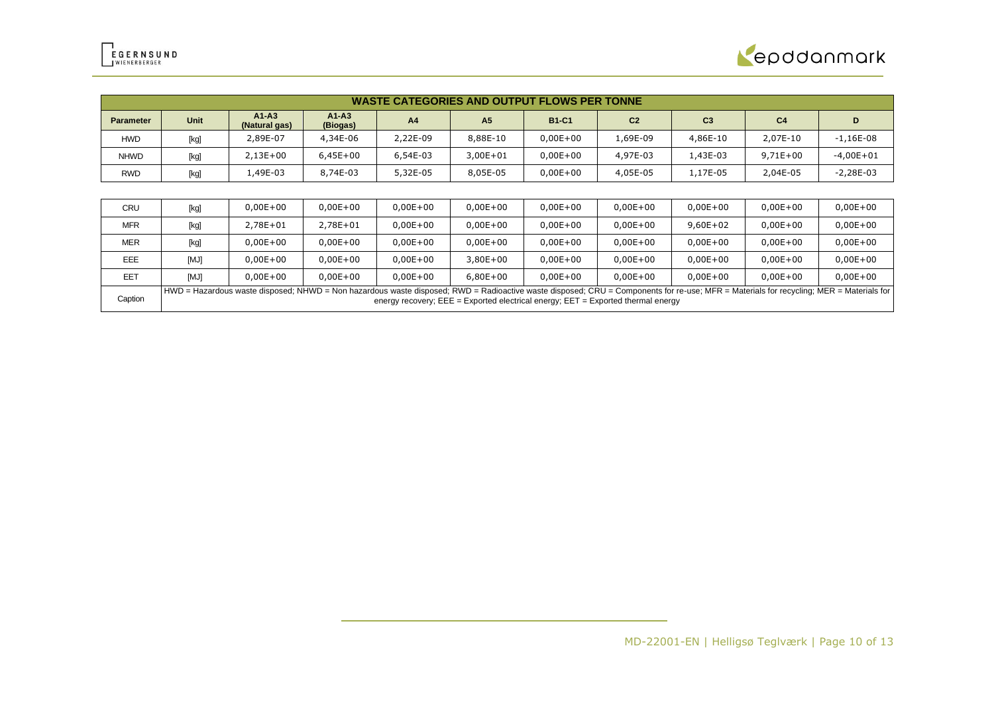

|                  | <b>WASTE CATEGORIES AND OUTPUT FLOWS PER TONNE</b>                                                                                                                                                                                                                              |                          |                     |                |                |              |                |                |                |              |
|------------------|---------------------------------------------------------------------------------------------------------------------------------------------------------------------------------------------------------------------------------------------------------------------------------|--------------------------|---------------------|----------------|----------------|--------------|----------------|----------------|----------------|--------------|
| <b>Parameter</b> | Unit                                                                                                                                                                                                                                                                            | $A1-A3$<br>(Natural gas) | $A1-A3$<br>(Biogas) | A <sub>4</sub> | A <sub>5</sub> | <b>B1-C1</b> | C <sub>2</sub> | C <sub>3</sub> | C <sub>4</sub> | D            |
| HWD              | [kg]                                                                                                                                                                                                                                                                            | 2,89E-07                 | 4,34E-06            | 2,22E-09       | 8,88E-10       | $0,00E+00$   | 1,69E-09       | 4,86E-10       | 2,07E-10       | $-1,16E-08$  |
| <b>NHWD</b>      | [kg]                                                                                                                                                                                                                                                                            | $2,13E+00$               | $6,45E+00$          | 6,54E-03       | $3,00E + 01$   | $0,00E+00$   | 4,97E-03       | 1,43E-03       | $9,71E+00$     | $-4,00E+01$  |
| RWD              | [kg]                                                                                                                                                                                                                                                                            | 1,49E-03                 | 8,74E-03            | 5,32E-05       | 8,05E-05       | $0,00E+00$   | 4,05E-05       | 1,17E-05       | 2,04E-05       | $-2,28E-03$  |
|                  |                                                                                                                                                                                                                                                                                 |                          |                     |                |                |              |                |                |                |              |
| CRU              | [kg]                                                                                                                                                                                                                                                                            | $0,00E+00$               | $0,00E + 00$        | $0,00E + 00$   | $0,00E+00$     | $0,00E+00$   | $0,00E + 00$   | $0,00E + 00$   | $0,00E+00$     | $0,00E + 00$ |
| <b>MFR</b>       | [kg]                                                                                                                                                                                                                                                                            | 2,78E+01                 | 2,78E+01            | $0,00E+00$     | $0,00E+00$     | $0,00E+00$   | $0,00E + 00$   | $9,60E+02$     | $0,00E + 00$   | $0,00E+00$   |
| <b>MER</b>       | [kg]                                                                                                                                                                                                                                                                            | $0,00E+00$               | $0,00E+00$          | $0,00E+00$     | $0,00E+00$     | $0,00E+00$   | $0,00E + 00$   | $0,00E+00$     | $0,00E + 00$   | $0,00E + 00$ |
| EEE              | [MJ]                                                                                                                                                                                                                                                                            | $0,00E+00$               | $0,00E+00$          | $0,00E+00$     | $3,80E+00$     | $0,00E+00$   | $0,00E + 00$   | $0,00E+00$     | $0,00E + 00$   | $0,00E + 00$ |
| EET              | [MJ]                                                                                                                                                                                                                                                                            | $0.00E + 00$             | $0,00E + 00$        | $0,00E+00$     | $6,80E+00$     | $0.00E + 00$ | $0,00E + 00$   | $0,00E+00$     | $0,00E + 00$   | $0,00E+00$   |
| Caption          | HWD = Hazardous waste disposed; NHWD = Non hazardous waste disposed; RWD = Radioactive waste disposed; CRU = Components for re-use; MFR = Materials for recycling; MER = Materials for<br>energy recovery; $EEE = Exported electrical energy$ ; $EET = Exported thermal energy$ |                          |                     |                |                |              |                |                |                |              |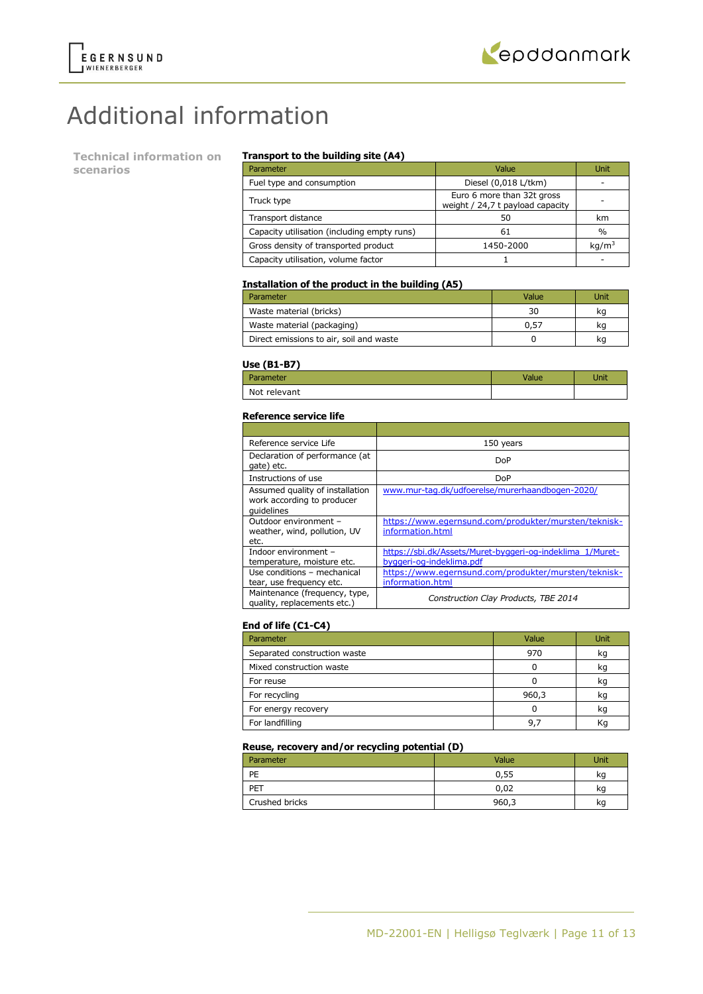

# Additional information

**Technical information on scenarios**

### **Transport to the building site (A4)**

| Parameter                                   | Value                                                          | Unit              |
|---------------------------------------------|----------------------------------------------------------------|-------------------|
| Fuel type and consumption                   | Diesel (0,018 L/tkm)                                           |                   |
| Truck type                                  | Euro 6 more than 32t gross<br>weight / 24,7 t payload capacity |                   |
| Transport distance                          | 50                                                             | km                |
| Capacity utilisation (including empty runs) | 61                                                             | $\frac{0}{0}$     |
| Gross density of transported product        | 1450-2000                                                      | kg/m <sup>3</sup> |
| Capacity utilisation, volume factor         |                                                                |                   |

### **Installation of the product in the building (A5)**

| Parameter                               | Value | Unit |
|-----------------------------------------|-------|------|
| Waste material (bricks)                 | 30    | ka   |
| Waste material (packaging)              | 0.57  | kq   |
| Direct emissions to air, soil and waste |       | ĸq   |

### **Use (B1-B7)**

| - - -<br>Parameter | Jnit |
|--------------------|------|
| Not relevant       |      |

#### **Reference service life**

| Reference service Life                                                      | 150 years                                                                             |
|-----------------------------------------------------------------------------|---------------------------------------------------------------------------------------|
| Declaration of performance (at<br>gate) etc.                                | DoP                                                                                   |
| Instructions of use                                                         | DoP                                                                                   |
| Assumed quality of installation<br>work according to producer<br>quidelines | www.mur-tag.dk/udfoerelse/murerhaandbogen-2020/                                       |
| Outdoor environment -<br>weather, wind, pollution, UV<br>etc.               | https://www.egernsund.com/produkter/mursten/teknisk-<br>information.html              |
| Indoor environment –<br>temperature, moisture etc.                          | https://sbi.dk/Assets/Muret-byggeri-og-indeklima 1/Muret-<br>byggeri-og-indeklima.pdf |
| Use conditions - mechanical<br>tear, use frequency etc.                     | https://www.egernsund.com/produkter/mursten/teknisk-<br>information.html              |
| Maintenance (frequency, type,<br>quality, replacements etc.)                | Construction Clay Products, TBE 2014                                                  |

### **End of life (C1-C4)**

| Parameter                    | Value | Unit |
|------------------------------|-------|------|
| Separated construction waste | 970   | kq   |
| Mixed construction waste     |       | kq   |
| For reuse                    |       | kq   |
| For recycling                | 960,3 | kg   |
| For energy recovery          |       | kq   |
| For landfilling              | 9.    |      |

### **Reuse, recovery and/or recycling potential (D)**

| Parameter      | Value | Unit |
|----------------|-------|------|
| PE             | 0,55  | kq   |
| PET            | 0,02  | ĸq   |
| Crushed bricks | 960,3 | kg   |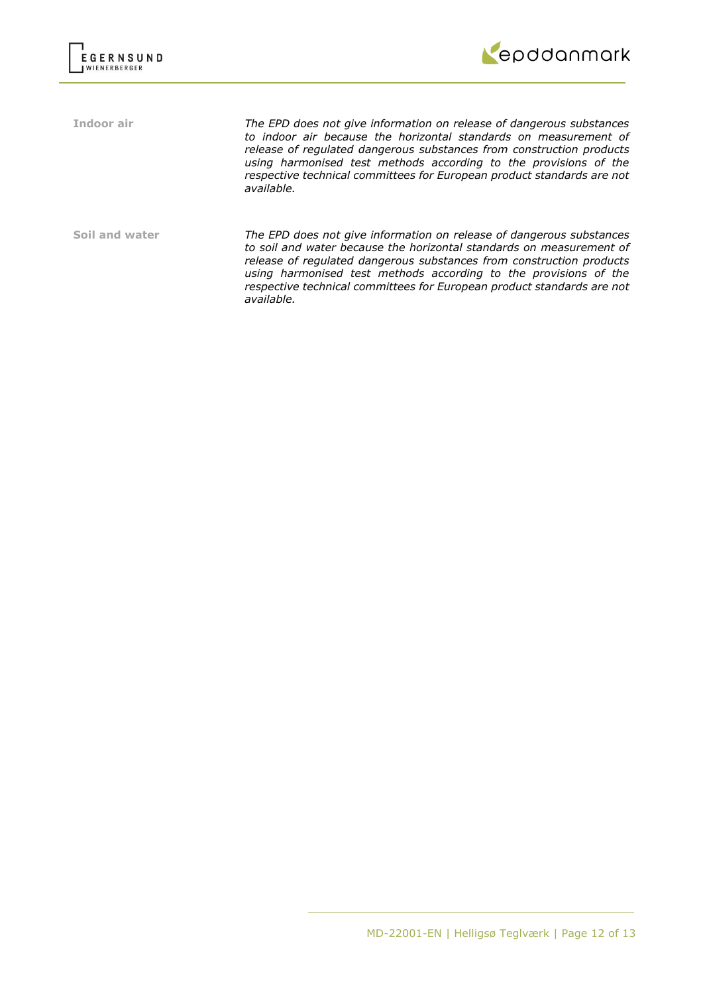



**Indoor air** *The EPD does not give information on release of dangerous substances to indoor air because the horizontal standards on measurement of release of regulated dangerous substances from construction products using harmonised test methods according to the provisions of the respective technical committees for European product standards are not available.*

**Soil and water** *The EPD does not give information on release of dangerous substances to soil and water because the horizontal standards on measurement of release of regulated dangerous substances from construction products using harmonised test methods according to the provisions of the respective technical committees for European product standards are not available.*